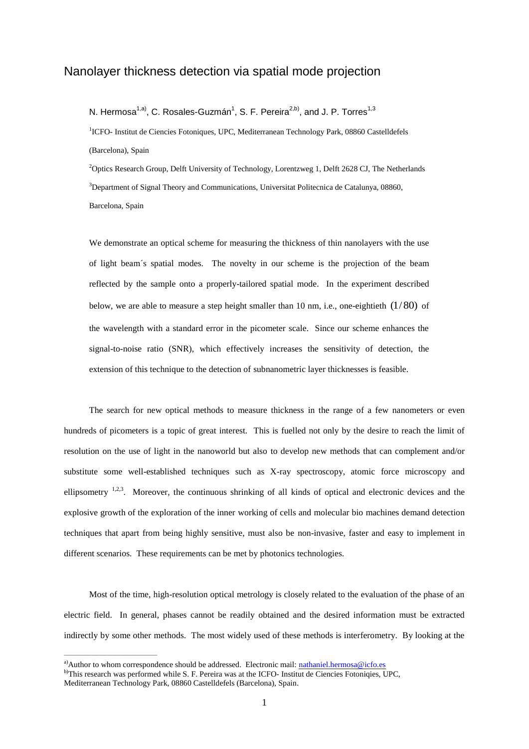## Nanolayer thickness detection via spatial mode projection

N. Hermosa<sup>1,a)</sup>, C. Rosales-Guzmán<sup>1</sup>, S. F. Pereira<sup>2,b)</sup>, and J. P. Torres<sup>1,3</sup>

<sup>1</sup>ICFO- Institut de Ciencies Fotoniques, UPC, Mediterranean Technology Park, 08860 Castelldefels (Barcelona), Spain

<sup>2</sup>Optics Research Group, Delft University of Technology, Lorentzweg 1, Delft 2628 CJ, The Netherlands <sup>3</sup>Department of Signal Theory and Communications, Universitat Politecnica de Catalunya, 08860, Barcelona, Spain

We demonstrate an optical scheme for measuring the thickness of thin nanolayers with the use of light beam´s spatial modes. The novelty in our scheme is the projection of the beam reflected by the sample onto a properly-tailored spatial mode. In the experiment described below, we are able to measure a step height smaller than 10 nm, i.e., one-eightieth  $(1/80)$  of the wavelength with a standard error in the picometer scale. Since our scheme enhances the signal-to-noise ratio (SNR), which effectively increases the sensitivity of detection, the extension of this technique to the detection of subnanometric layer thicknesses is feasible.

The search for new optical methods to measure thickness in the range of a few nanometers or even hundreds of picometers is a topic of great interest. This is fuelled not only by the desire to reach the limit of resolution on the use of light in the nanoworld but also to develop new methods that can complement and/or substitute some well-established techniques such as X-ray spectroscopy, atomic force microscopy and ellipsometry <sup>1,2,3</sup>. Moreover, the continuous shrinking of all kinds of optical and electronic devices and the explosive growth of the exploration of the inner working of cells and molecular bio machines demand detection techniques that apart from being highly sensitive, must also be non-invasive, faster and easy to implement in different scenarios. These requirements can be met by photonics technologies.

Most of the time, high-resolution optical metrology is closely related to the evaluation of the phase of an electric field. In general, phases cannot be readily obtained and the desired information must be extracted indirectly by some other methods. The most widely used of these methods is interferometry. By looking at the

 $\mathcal{L}_\text{max}$  and  $\mathcal{L}_\text{max}$  and  $\mathcal{L}_\text{max}$  and  $\mathcal{L}_\text{max}$ 

<sup>&</sup>lt;sup>a)</sup>Author to whom correspondence should be addressed. Electronic mail: [nathaniel.hermosa@icfo.es](mailto:nathaniel.hermosa@icfo.es)

b)This research was performed while S. F. Pereira was at the ICFO- Institut de Ciencies Fotoniqies, UPC,

Mediterranean Technology Park, 08860 Castelldefels (Barcelona), Spain.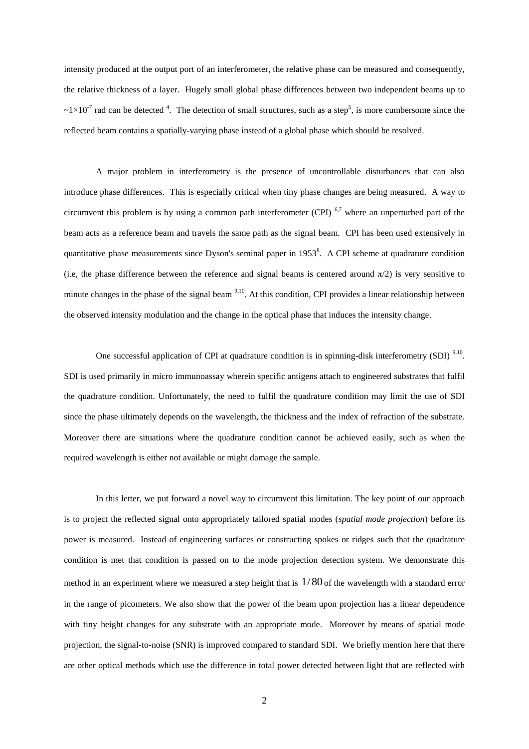intensity produced at the output port of an interferometer, the relative phase can be measured and consequently, the relative thickness of a layer. Hugely small global phase differences between two independent beams up to  $\sim 1 \times 10^{-7}$  rad can be detected <sup>4</sup>. The detection of small structures, such as a step<sup>5</sup>, is more cumbersome since the reflected beam contains a spatially-varying phase instead of a global phase which should be resolved.

A major problem in interferometry is the presence of uncontrollable disturbances that can also introduce phase differences. This is especially critical when tiny phase changes are being measured. A way to circumvent this problem is by using a common path interferometer (CPI)  $6.7$  where an unperturbed part of the beam acts as a reference beam and travels the same path as the signal beam. CPI has been used extensively in quantitative phase measurements since Dyson's seminal paper in  $1953<sup>8</sup>$ . A CPI scheme at quadrature condition (i.e, the phase difference between the reference and signal beams is centered around  $\pi/2$ ) is very sensitive to minute changes in the phase of the signal beam <sup>9,10</sup>. At this condition, CPI provides a linear relationship between the observed intensity modulation and the change in the optical phase that induces the intensity change.

One successful application of CPI at quadrature condition is in spinning-disk interferometry (SDI)<sup>9,10</sup>. SDI is used primarily in micro immunoassay wherein specific antigens attach to engineered substrates that fulfil the quadrature condition. Unfortunately, the need to fulfil the quadrature condition may limit the use of SDI since the phase ultimately depends on the wavelength, the thickness and the index of refraction of the substrate. Moreover there are situations where the quadrature condition cannot be achieved easily, such as when the required wavelength is either not available or might damage the sample.

In this letter, we put forward a novel way to circumvent this limitation. The key point of our approach is to project the reflected signal onto appropriately tailored spatial modes (*spatial mode projection*) before its power is measured. Instead of engineering surfaces or constructing spokes or ridges such that the quadrature condition is met that condition is passed on to the mode projection detection system. We demonstrate this method in an experiment where we measured a step height that is  $1/80$  of the wavelength with a standard error in the range of picometers. We also show that the power of the beam upon projection has a linear dependence with tiny height changes for any substrate with an appropriate mode. Moreover by means of spatial mode projection, the signal-to-noise (SNR) is improved compared to standard SDI. We briefly mention here that there are other optical methods which use the difference in total power detected between light that are reflected with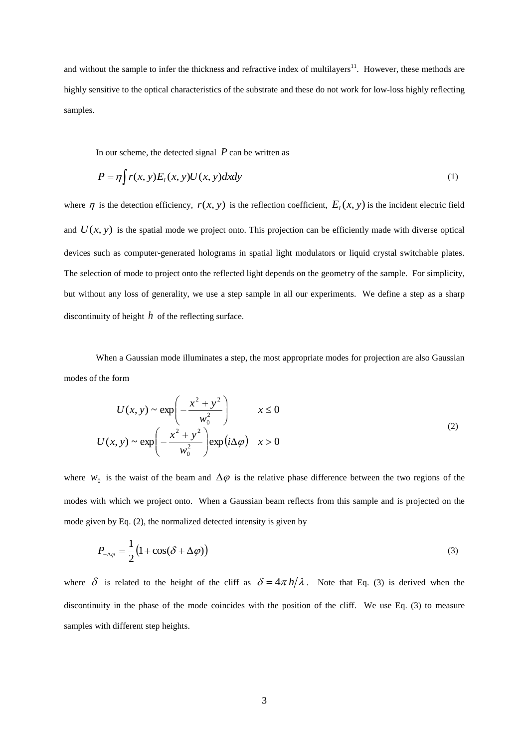and without the sample to infer the thickness and refractive index of multilayers $11$ . However, these methods are highly sensitive to the optical characteristics of the substrate and these do not work for low-loss highly reflecting samples.

In our scheme, the detected signal  $P$  can be written as

$$
P = \eta \int r(x, y) E_i(x, y) U(x, y) dx dy
$$
\n(1)

where  $\eta$  is the detection efficiency,  $r(x, y)$  is the reflection coefficient,  $E_i(x, y)$  is the incident electric field and  $U(x, y)$  is the spatial mode we project onto. This projection can be efficiently made with diverse optical devices such as computer-generated holograms in spatial light modulators or liquid crystal switchable plates. The selection of mode to project onto the reflected light depends on the geometry of the sample. For simplicity, but without any loss of generality, we use a step sample in all our experiments. We define a step as a sharp discontinuity of height  $h$  of the reflecting surface.

When a Gaussian mode illuminates a step, the most appropriate modes for projection are also Gaussian modes of the form

$$
U(x, y) \sim \exp\left(-\frac{x^2 + y^2}{w_0^2}\right) \qquad x \le 0
$$
  

$$
U(x, y) \sim \exp\left(-\frac{x^2 + y^2}{w_0^2}\right) \exp(i\Delta\varphi) \qquad x > 0
$$
 (2)

where  $W_0$  is the waist of the beam and  $\Delta \varphi$  is the relative phase difference between the two regions of the modes with which we project onto. When a Gaussian beam reflects from this sample and is projected on the mode given by Eq. (2), the normalized detected intensity is given by

$$
P_{-\Delta\varphi} = \frac{1}{2} (1 + \cos(\delta + \Delta\varphi))
$$
\n(3)

where  $\delta$  is related to the height of the cliff as  $\delta = 4\pi h/\lambda$ . Note that Eq. (3) is derived when the discontinuity in the phase of the mode coincides with the position of the cliff. We use Eq. (3) to measure samples with different step heights.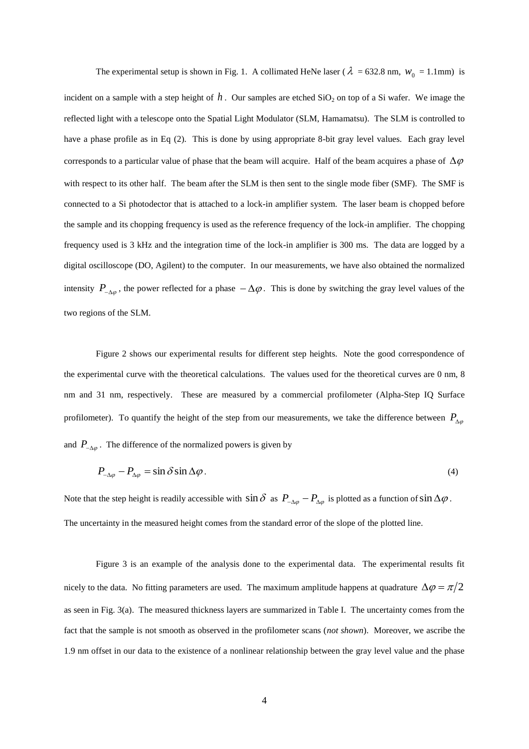The experimental setup is shown in Fig. 1. A collimated HeNe laser ( $\lambda = 632.8$  nm,  $w_0 = 1.1$ mm) is incident on a sample with a step height of  $h$ . Our samples are etched  $SiO_2$  on top of a Si wafer. We image the reflected light with a telescope onto the Spatial Light Modulator (SLM, Hamamatsu). The SLM is controlled to have a phase profile as in Eq (2). This is done by using appropriate 8-bit gray level values. Each gray level corresponds to a particular value of phase that the beam will acquire. Half of the beam acquires a phase of  $\Delta\varphi$ with respect to its other half. The beam after the SLM is then sent to the single mode fiber (SMF). The SMF is connected to a Si photodector that is attached to a lock-in amplifier system. The laser beam is chopped before the sample and its chopping frequency is used as the reference frequency of the lock-in amplifier. The chopping frequency used is 3 kHz and the integration time of the lock-in amplifier is 300 ms. The data are logged by a digital oscilloscope (DO, Agilent) to the computer. In our measurements, we have also obtained the normalized intensity  $P_{\Delta\varphi}$ , the power reflected for a phase  $-\Delta\varphi$ . This is done by switching the gray level values of the two regions of the SLM.

Figure 2 shows our experimental results for different step heights. Note the good correspondence of the experimental curve with the theoretical calculations. The values used for the theoretical curves are 0 nm, 8 nm and 31 nm, respectively. These are measured by a commercial profilometer (Alpha-Step IQ Surface profilometer). To quantify the height of the step from our measurements, we take the difference between  $P_{\Delta\varphi}$ and  $P_{-\Delta\varphi}$ . The difference of the normalized powers is given by

$$
P_{\Delta\varphi} - P_{\Delta\varphi} = \sin\delta\sin\Delta\varphi. \tag{4}
$$

Note that the step height is readily accessible with  $\sin \delta$  as  $P_{\alpha\varphi} - P_{\alpha\varphi}$  is plotted as a function of  $\sin \Delta \varphi$ . The uncertainty in the measured height comes from the standard error of the slope of the plotted line.

Figure 3 is an example of the analysis done to the experimental data. The experimental results fit nicely to the data. No fitting parameters are used. The maximum amplitude happens at quadrature  $\Delta \varphi = \pi/2$ as seen in Fig. 3(a). The measured thickness layers are summarized in Table I. The uncertainty comes from the fact that the sample is not smooth as observed in the profilometer scans (*not shown*). Moreover, we ascribe the 1.9 nm offset in our data to the existence of a nonlinear relationship between the gray level value and the phase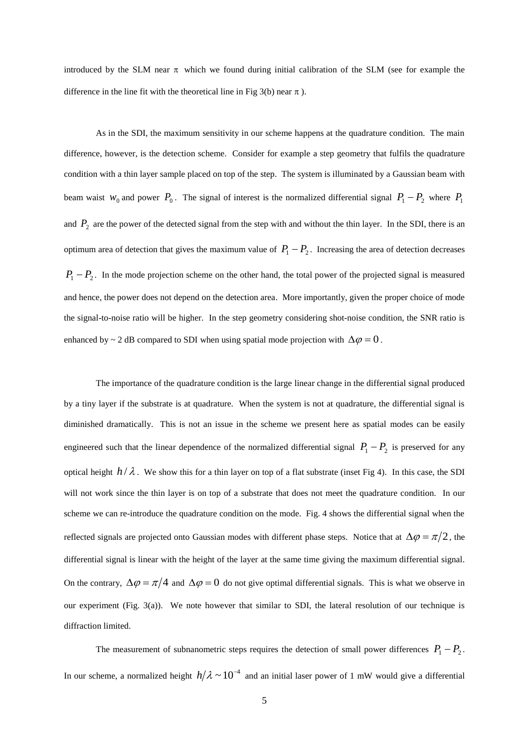introduced by the SLM near  $\pi$  which we found during initial calibration of the SLM (see for example the difference in the line fit with the theoretical line in Fig 3(b) near  $\pi$ ).

As in the SDI, the maximum sensitivity in our scheme happens at the quadrature condition. The main difference, however, is the detection scheme. Consider for example a step geometry that fulfils the quadrature condition with a thin layer sample placed on top of the step. The system is illuminated by a Gaussian beam with beam waist  $w_0$  and power  $P_0$ . The signal of interest is the normalized differential signal  $P_1 - P_2$  where  $P_1$ and  $P_2$  are the power of the detected signal from the step with and without the thin layer. In the SDI, there is an optimum area of detection that gives the maximum value of  $P_1 - P_2$ . Increasing the area of detection decreases  $P_1 - P_2$ . In the mode projection scheme on the other hand, the total power of the projected signal is measured and hence, the power does not depend on the detection area. More importantly, given the proper choice of mode the signal-to-noise ratio will be higher. In the step geometry considering shot-noise condition, the SNR ratio is enhanced by ~ 2 dB compared to SDI when using spatial mode projection with  $\Delta \varphi = 0$ .

The importance of the quadrature condition is the large linear change in the differential signal produced by a tiny layer if the substrate is at quadrature. When the system is not at quadrature, the differential signal is diminished dramatically. This is not an issue in the scheme we present here as spatial modes can be easily engineered such that the linear dependence of the normalized differential signal  $P_1 - P_2$  is preserved for any optical height  $h/\lambda$ . We show this for a thin layer on top of a flat substrate (inset Fig 4). In this case, the SDI will not work since the thin layer is on top of a substrate that does not meet the quadrature condition. In our scheme we can re-introduce the quadrature condition on the mode. Fig. 4 shows the differential signal when the reflected signals are projected onto Gaussian modes with different phase steps. Notice that at  $\Delta \varphi = \pi/2$ , the differential signal is linear with the height of the layer at the same time giving the maximum differential signal. On the contrary,  $\Delta \varphi = \pi/4$  and  $\Delta \varphi = 0$  do not give optimal differential signals. This is what we observe in our experiment (Fig. 3(a)). We note however that similar to SDI, the lateral resolution of our technique is diffraction limited.

The measurement of subnanometric steps requires the detection of small power differences  $P_1 - P_2$ . In our scheme, a normalized height  $h/\lambda \sim 10^{-4}$  and an initial laser power of 1 mW would give a differential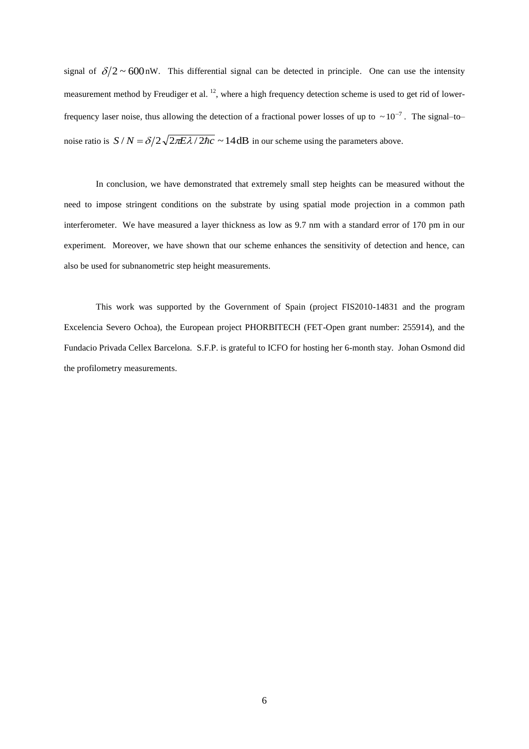signal of  $\delta/2 \sim 600$ nW. This differential signal can be detected in principle. One can use the intensity measurement method by Freudiger et al.  $^{12}$ , where a high frequency detection scheme is used to get rid of lowerfrequency laser noise, thus allowing the detection of a fractional power losses of up to  $\sim 10^{-7}$ . The signal–to– noise ratio is  $S/N = \delta/2\sqrt{2\pi E \lambda}/2\hbar c \sim 14 \text{ dB}$  in our scheme using the parameters above.

In conclusion, we have demonstrated that extremely small step heights can be measured without the need to impose stringent conditions on the substrate by using spatial mode projection in a common path interferometer. We have measured a layer thickness as low as 9.7 nm with a standard error of 170 pm in our experiment. Moreover, we have shown that our scheme enhances the sensitivity of detection and hence, can also be used for subnanometric step height measurements.

This work was supported by the Government of Spain (project FIS2010-14831 and the program Excelencia Severo Ochoa), the European project PHORBITECH (FET-Open grant number: 255914), and the Fundacio Privada Cellex Barcelona. S.F.P. is grateful to ICFO for hosting her 6-month stay. Johan Osmond did the profilometry measurements.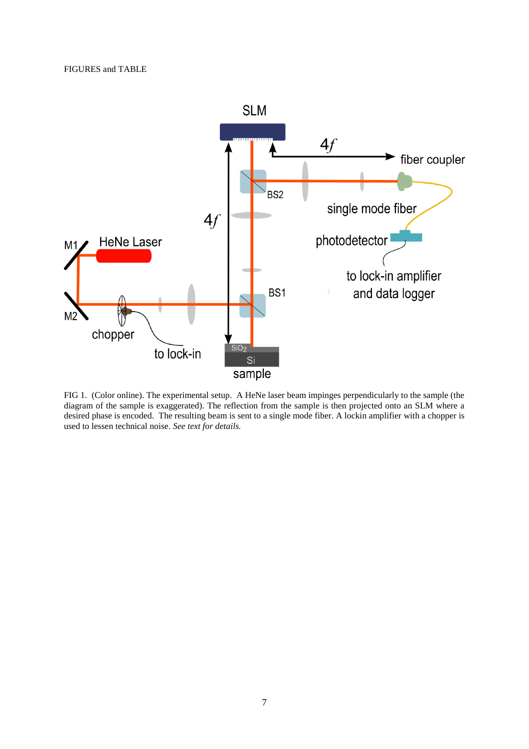

FIG 1. (Color online). The experimental setup. A HeNe laser beam impinges perpendicularly to the sample (the diagram of the sample is exaggerated). The reflection from the sample is then projected onto an SLM where a desired phase is encoded. The resulting beam is sent to a single mode fiber. A lockin amplifier with a chopper is used to lessen technical noise. *See text for details.*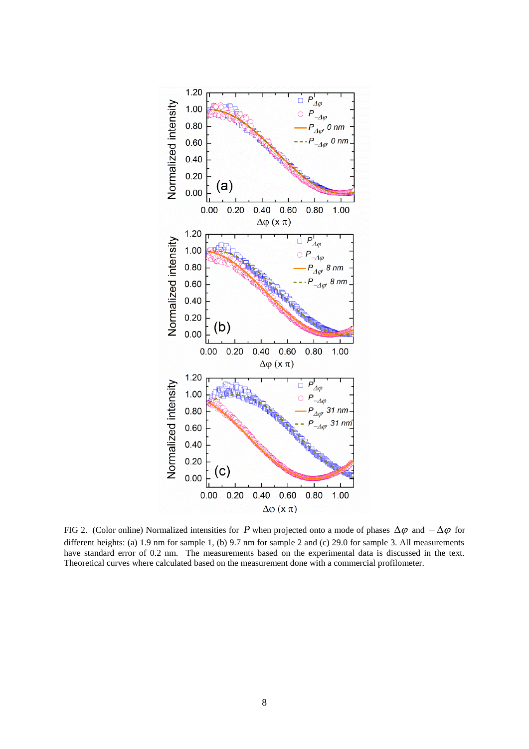

FIG 2. (Color online) Normalized intensities for P when projected onto a mode of phases  $\Delta\varphi$  and  $-\Delta\varphi$  for different heights: (a) 1.9 nm for sample 1, (b) 9.7 nm for sample 2 and (c) 29.0 for sample 3. All measurements have standard error of 0.2 nm. The measurements based on the experimental data is discussed in the text. Theoretical curves where calculated based on the measurement done with a commercial profilometer.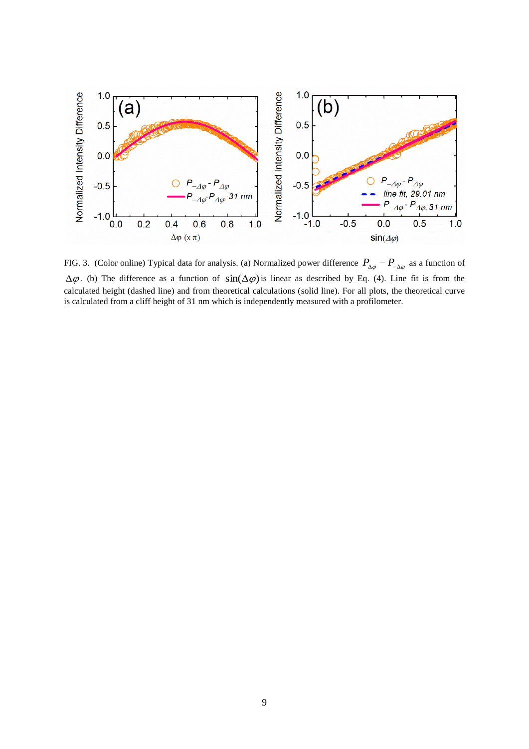

FIG. 3. (Color online) Typical data for analysis. (a) Normalized power difference  $P_{\alpha\varphi} - P_{-\alpha\varphi}$  as a function of  $\Delta \varphi$ . (b) The difference as a function of  $\sin(\Delta \varphi)$  is linear as described by Eq. (4). Line fit is from the calculated height (dashed line) and from theoretical calculations (solid line). For all plots, the theoretical curve is calculated from a cliff height of 31 nm which is independently measured with a profilometer.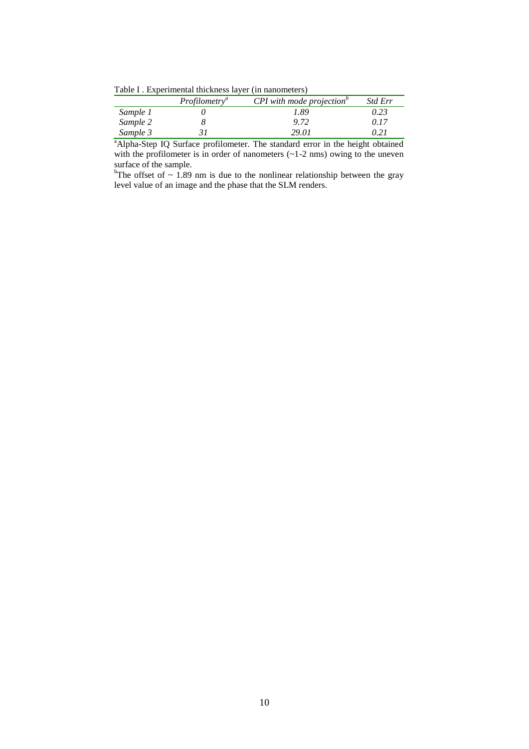Table I . Experimental thickness layer (in nanometers)

|          | Profilometry <sup>a</sup> | $CPI$ with mode projection <sup><math>\theta</math></sup> | Std Err |
|----------|---------------------------|-----------------------------------------------------------|---------|
| Sample 1 |                           | 1.89                                                      | 0.23    |
| Sample 2 |                           | 9.72                                                      | 9.17    |
| Sample 3 |                           | 29.01                                                     | 0.21    |

<sup>a</sup>Alpha-Step IQ Surface profilometer. The standard error in the height obtained with the profilometer is in order of nanometers  $(-1-2)$  nms) owing to the uneven surface of the sample.

bThe offset of  $\sim$  1.89 nm is due to the nonlinear relationship between the gray level value of an image and the phase that the SLM renders.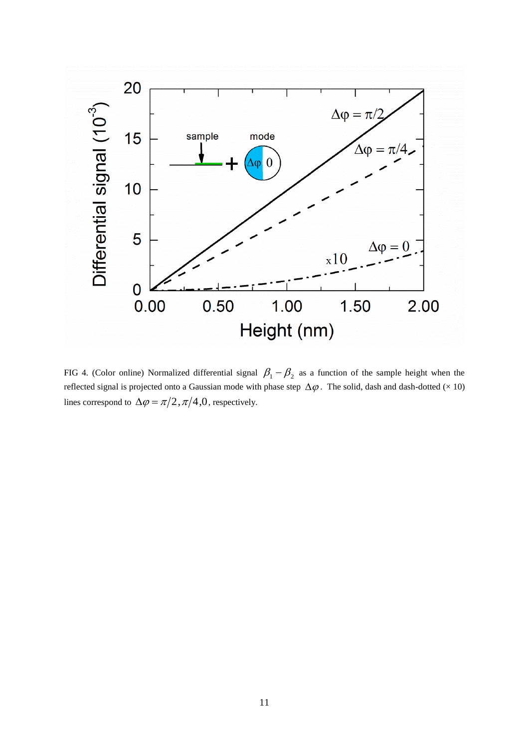

FIG 4. (Color online) Normalized differential signal  $\beta_1 - \beta_2$  as a function of the sample height when the reflected signal is projected onto a Gaussian mode with phase step  $\Delta\varphi$ . The solid, dash and dash-dotted ( $\times$  10) lines correspond to  $\Delta \varphi = \pi/2, \pi/4, 0$ , respectively.